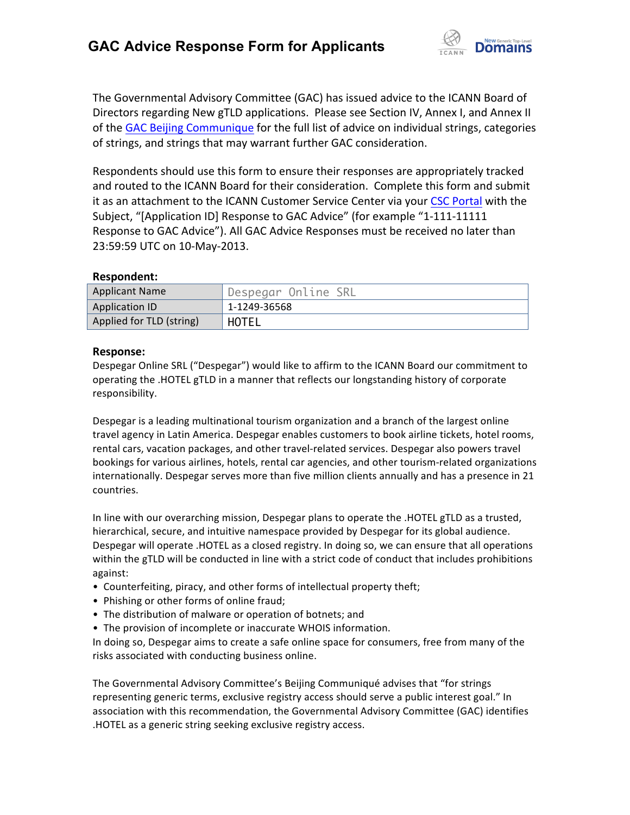

The Governmental Advisory Committee (GAC) has issued advice to the ICANN Board of Directors regarding New gTLD applications. Please see Section IV, Annex I, and Annex II of the GAC Beijing Communique for the full list of advice on individual strings, categories of strings, and strings that may warrant further GAC consideration.

Respondents should use this form to ensure their responses are appropriately tracked and routed to the ICANN Board for their consideration. Complete this form and submit it as an attachment to the ICANN Customer Service Center via your CSC Portal with the Subject, "[Application ID] Response to GAC Advice" (for example "1-111-11111 Response to GAC Advice"). All GAC Advice Responses must be received no later than 23:59:59 UTC on 10-May-2013.

## **Respondent:**

| <b>Applicant Name</b>    | 'Despegar Online SRL |
|--------------------------|----------------------|
| Application ID           | 1-1249-36568         |
| Applied for TLD (string) | HOTEL                |

## **Response:**

Despegar Online SRL ("Despegar") would like to affirm to the ICANN Board our commitment to operating the .HOTEL gTLD in a manner that reflects our longstanding history of corporate responsibility.

Despegar is a leading multinational tourism organization and a branch of the largest online travel agency in Latin America. Despegar enables customers to book airline tickets, hotel rooms, rental cars, vacation packages, and other travel-related services. Despegar also powers travel bookings for various airlines, hotels, rental car agencies, and other tourism-related organizations internationally. Despegar serves more than five million clients annually and has a presence in 21 countries.

In line with our overarching mission, Despegar plans to operate the .HOTEL gTLD as a trusted, hierarchical, secure, and intuitive namespace provided by Despegar for its global audience. Despegar will operate .HOTEL as a closed registry. In doing so, we can ensure that all operations within the gTLD will be conducted in line with a strict code of conduct that includes prohibitions against:

- Counterfeiting, piracy, and other forms of intellectual property theft;
- Phishing or other forms of online fraud;
- The distribution of malware or operation of botnets; and
- The provision of incomplete or inaccurate WHOIS information.

In doing so, Despegar aims to create a safe online space for consumers, free from many of the risks associated with conducting business online.

The Governmental Advisory Committee's Beijing Communiqué advises that "for strings representing generic terms, exclusive registry access should serve a public interest goal." In association with this recommendation, the Governmental Advisory Committee (GAC) identifies .HOTEL as a generic string seeking exclusive registry access.